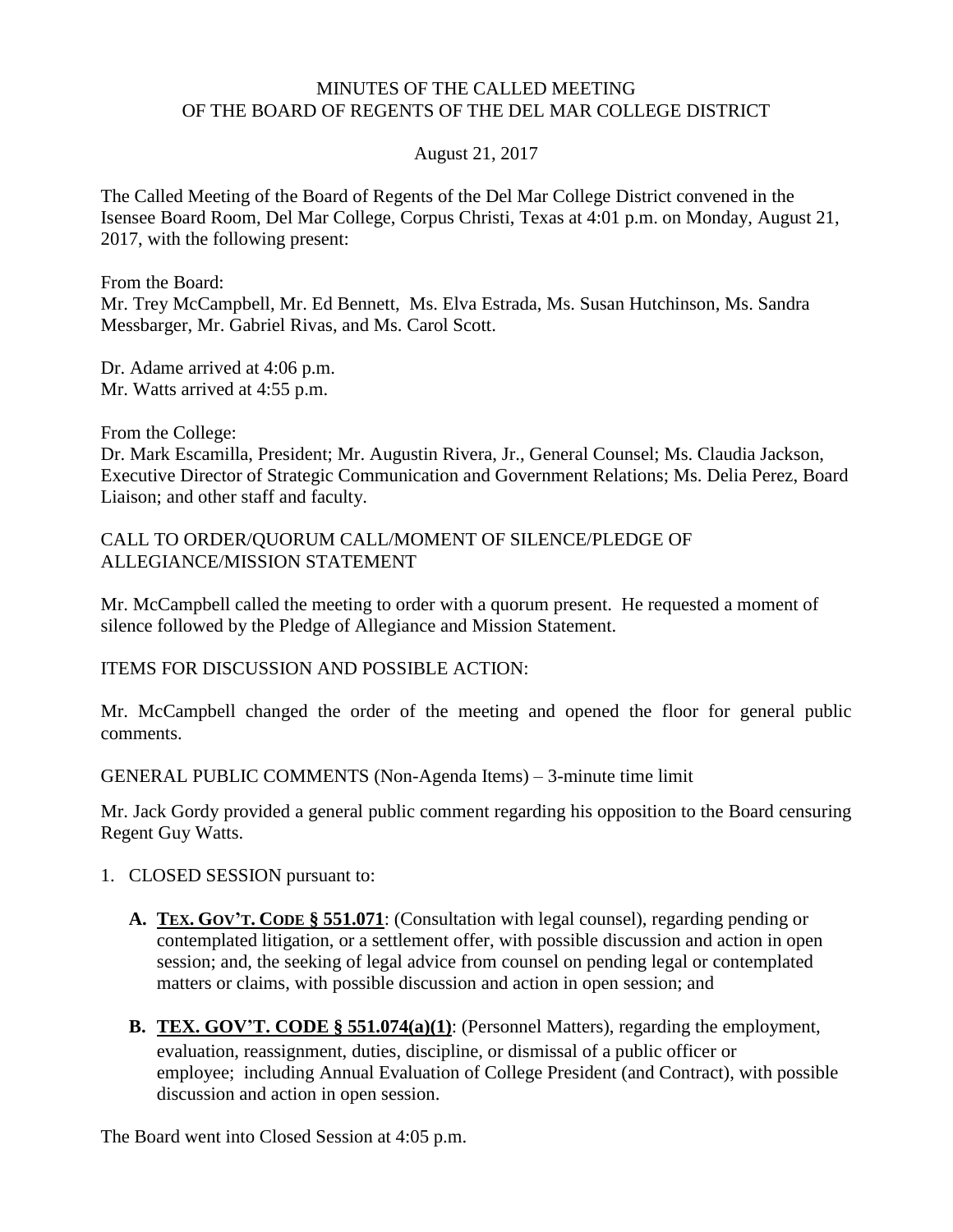## MINUTES OF THE CALLED MEETING OF THE BOARD OF REGENTS OF THE DEL MAR COLLEGE DISTRICT

August 21, 2017

The Called Meeting of the Board of Regents of the Del Mar College District convened in the Isensee Board Room, Del Mar College, Corpus Christi, Texas at 4:01 p.m. on Monday, August 21, 2017, with the following present:

From the Board:

Mr. Trey McCampbell, Mr. Ed Bennett, Ms. Elva Estrada, Ms. Susan Hutchinson, Ms. Sandra Messbarger, Mr. Gabriel Rivas, and Ms. Carol Scott.

Dr. Adame arrived at 4:06 p.m. Mr. Watts arrived at 4:55 p.m.

From the College:

Dr. Mark Escamilla, President; Mr. Augustin Rivera, Jr., General Counsel; Ms. Claudia Jackson, Executive Director of Strategic Communication and Government Relations; Ms. Delia Perez, Board Liaison; and other staff and faculty.

CALL TO ORDER/QUORUM CALL/MOMENT OF SILENCE/PLEDGE OF ALLEGIANCE/MISSION STATEMENT

Mr. McCampbell called the meeting to order with a quorum present. He requested a moment of silence followed by the Pledge of Allegiance and Mission Statement.

ITEMS FOR DISCUSSION AND POSSIBLE ACTION:

Mr. McCampbell changed the order of the meeting and opened the floor for general public comments.

GENERAL PUBLIC COMMENTS (Non-Agenda Items) – 3-minute time limit

Mr. Jack Gordy provided a general public comment regarding his opposition to the Board censuring Regent Guy Watts.

- 1. CLOSED SESSION pursuant to:
	- **A. TEX. GOV'T. CODE § 551.071**: (Consultation with legal counsel), regarding pending or contemplated litigation, or a settlement offer, with possible discussion and action in open session; and, the seeking of legal advice from counsel on pending legal or contemplated matters or claims, with possible discussion and action in open session; and
	- **B. TEX. GOV'T. CODE § 551.074(a)(1)**: (Personnel Matters), regarding the employment, evaluation, reassignment, duties, discipline, or dismissal of a public officer or employee; including Annual Evaluation of College President (and Contract), with possible discussion and action in open session.

The Board went into Closed Session at 4:05 p.m.